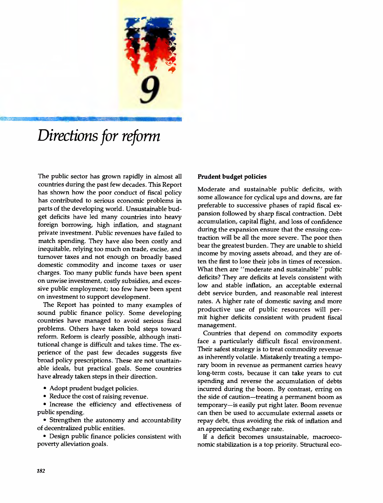

# Directions for reform

The public sector has grown rapidly in almost all countries during the past few decades. This Report has shown how the poor conduct of fiscal policy has contributed to serious economic problems in parts of the developing world. Unsustainable budget deficits have led many countries into heavy foreign borrowing, high inflation, and stagnant private investment. Public revenues have failed to match spending. They have also been costly and inequitable, relying too much on trade, excise, and turnover taxes and not enough on broadly based domestic commodity and income taxes or user charges. Too many public funds have been spent on unwise investment, costly subsidies, and excessive public employment; too few have been spent on investment to support development.

The Report has pointed to many examples of sound public finance policy. Some developing countries have managed to avoid serious fiscal problems. Others have taken bold steps toward reform. Reform is clearly possible, although institutional change is difficult and takes time. The experience of the past few decades suggests five broad policy prescriptions. These are not unattainable ideals, but practical goals. Some countries have already taken steps in their direction.

- Adopt prudent budget policies.
- Reduce the cost of raising revenue.

Increase the efficiency and effectiveness of public spending.

Strengthen the autonomy and accountability of decentralized public entities.

Design public finance policies consistent with poverty alleviation goals.

#### Prudent budget policies

Moderate and sustainable public deficits, with some allowance for cyclical ups and downs, are far preferable to successive phases of rapid fiscal expansion followed by sharp fiscal contraction. Debt accumulation, capital flight, and loss of confidence during the expansion ensure that the ensuing contraction will be all the more severe. The poor then bear the greatest burden. They are unable to shield income by moving assets abroad, and they are often the first to lose their jobs in times of recession. What then are "moderate and sustainable" public deficits? They are deficits at levels consistent with low and stable inflation, an acceptable external debt service burden, and reasonable real interest rates. A higher rate of domestic saving and more productive use of public resources will permit higher deficits consistent with prudent fiscal management.

Countries that depend on commodity exports face a particularly difficult fiscal environment. Their safest strategy is to treat commodity revenue as inherently volatile. Mistakenly treating a temporary boom in revenue as permanent carries heavy long-term costs, because it can take years to cut spending and reverse the accumulation of debts incurred during the boom. By contrast, erring on the side of caution-treating a permanent boom as temporary-is easily put right later. Boom revenue can then be used to accumulate external assets or repay debt, thus avoiding the risk of inflation and an appreciating exchange rate.

If a deficit becomes unsustainable, macroeconomic stabilization is a top priority. Structural eco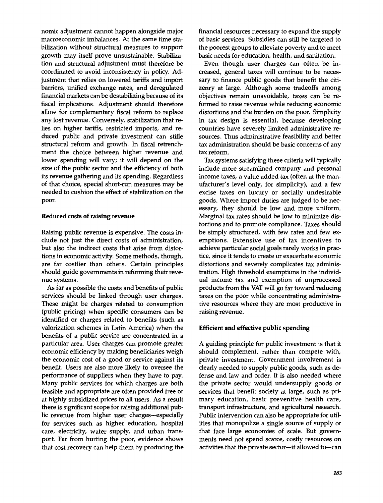nomic adjustment cannot happen alongside major macroeconomic imbalances. At the same time stabilization without structural measures to support growth may itself prove unsustainable. Stabilization and structural adjustment must therefore be coordinated to avoid inconsistency in policy. Adjustment that relies on lowered tariffs and import barriers, unified exchange rates, and deregulated financial markets can be destabilizing because of its fiscal implications. Adjustment should therefore allow for complementary fiscal reform to replace any lost revenue. Conversely, stabilization that relies on higher tariffs, restricted imports, and reduced public and private investment can stifie structural reform and growth. In fiscal retrenchment the choice between higher revenue and lower spending will vary; it will depend on the size of the public sector and the efficiency of both its revenue gathering and its spending. Regardless of that choice, special short-run measures may be needed to cushion the effect of stabilization on the poor.

#### Reduced costs of raising revenue

Raising public revenue is expensive. The costs include not just the direct costs of administration, but also the indirect costs that arise from distortions in economic activity. Some methods, though, are far costlier than others. Certain principles should guide governments in reforming their revenue systems.

As far as possible the costs and benefits of public services should be linked through user charges. These might be charges related to consumption (public pricing) when specific consumers can be identified or charges related to benefits (such as valorization schemes in Latin America) when the benefits of a public service are concentrated in a particular area. User charges can promote greater economic efficiency by making beneficiaries weigh the economic cost of a good or service against its benefit. Users are also more likely to oversee the performance of suppliers when they have to pay. Many public services for which charges are both feasible and appropriate are often provided free or at highly subsidized prices to all users. As a result there is significant scope for raising additional public revenue from higher user charges-especially for services such as higher education, hospital care, electricity, water supply, and urban transport. Far from hurting the poor, evidence shows that cost recovery can help them by producing the financial resources necessary to expand the supply of basic services. Subsidies can still be targeted to the poorest groups to alleviate poverty and to meet basic needs for education, health, and sanitation.

Even though user charges can often be increased, general taxes will continue to be necessary to finance public goods that benefit the citizenry at large. Although some tradeoffs among objectives remain unavoidable, taxes can be reformed to raise revenue while reducing economic distortions and the burden on the poor. Simplicity in tax design is essential, because developing countries have severely limited administrative resources. Thus administrative feasibility and better tax administration should be basic concerns of any tax reform.

Tax systems satisfying these criteria will typically include more streamlined company and personal income taxes, a value added tax (often at the manufacturer's level only, for simplicity), and a few excise taxes on luxury or socially undesirable goods. Where import duties are judged to be necessary, they should be low and more uniform. Marginal tax rates should be low to minimize distortions and to promote compliance. Taxes should be simply structured, with few rates and few exemptions. Extensive use of tax incentives to achieve particular social goals rarely works in practice, since it tends to create or exacerbate economic distortions and severely complicates tax administration. High threshold exemptions in the individual income tax and exemption of unprocessed products from the VAT will go far toward reducing taxes on the poor while concentrating administrative resources where they are most productive in raising revenue.

## Efficient and effective public spending

A guiding principle for public investment is that it should complement, rather than compete with, private investment. Government involvement is clearly needed to supply public goods, such as defense and law and order. It is also needed where the private sector would undersupply goods or services that benefit society at large, such as primary education, basic preventive health care, transport infrastructure, and agricultural research. Public intervention can also be appropriate for utilities that monopolize a single source of supply or that face large economies of scale. But governments need not spend scarce, costly resources on activities that the private sector-if allowed to-can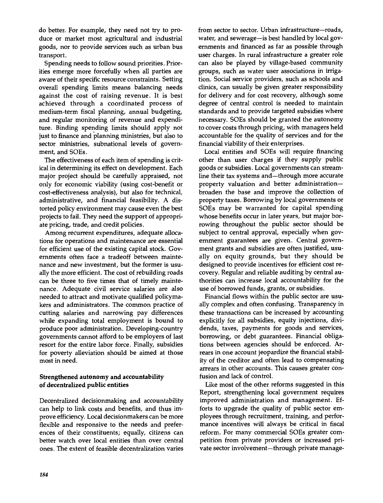do better. For example, they need not try to produce or market most agricultural and industrial goods, nor to provide services such as urban bus transport.

Spending needs to follow sound priorities. Priorities emerge more forcefully when all parties are aware of their specific resource constraints. Setting overall spending limits means balancing needs against the cost of raising revenue. It is best achieved through a coordinated process of medium-term fiscal planning, annual budgeting, and regular monitoring of revenue and expenditure. Binding spending limits should apply not just to finance and planning ministries, but also to sector ministries, subnational levels of government, and SOEs.

The effectiveness of each item of spending is critical in determining its effect on development. Each major project should be carefully appraised, not only for economic viability (using cost-benefit or cost-effectiveness analysis), but also for technical, administrative, and financial feasibility. A distorted policy environment may cause even the best projects to fail. They need the support of appropriate pricing, trade, and credit policies.

Among recurrent expenditures, adequate allocations for operations and maintenance are essential for efficient use of the existing capital stock. Governments often face a tradeoff between maintenance and new investment, but the former is usually the more efficient. The cost of rebuilding roads can be three to five times that of timely maintenance. Adequate civil service salaries are also needed to attract and motivate qualified policymakers and administrators. The common practice of cutting salaries and narrowing pay differences while expanding total employment is bound to produce poor administration. Developing-country governments cannot afford to be employers of last resort for the entire labor force. Finally, subsidies for poverty alleviation should be aimed at those most in need.

# Strengthened autonomy and accountability of decentralized public entities

Decentralized decisionmaking and accountability can help to link costs and benefits, and thus improve efficiency. Local decisionmakers can be more flexible and responsive to the needs and preferences of their constituents; equally, citizens can better watch over local entities than over central ones. The extent of feasible decentralization varies from sector to sector. Urban infrastructure-roads, water, and sewerage-is best handled by local governments and financed as far as possible through user charges. In rural infrastructure a greater role can also be played by vifiage-based community groups, such as water user associations in irrigation. Social service providers, such as schools and clinics, can usually be given greater responsibility for delivery and for cost recovery, although some degree of central control is needed to maintain standards and to provide targeted subsidies where necessary. SOEs should be granted the autonomy to cover costs through pricing, with managers held accountable for the quality of services and for the financial viability of their enterprises.

Local entities and SOEs will require financing other than user charges if they supply public goods or subsidies. Local governments can streamline their tax systems and—through more accurate property valuation and better administration broaden the base and improve the collection of property taxes. Borrowing by local governments or SOEs may be warranted for capital spending whose benefits occur in later years, but major borrowing throughout the public sector should be subject to central approval, especially when government guarantees are given. Central government grants and subsidies are often justified, usually on equity grounds, but they should be designed to provide incentives for efficient cost recovery. Regular and reliable auditing by central authorities can increase local accountability for the use of borrowed funds, grants, or subsidies.

Financial flows within the public sector are usually complex and often confusing. Transparency in these transactions can be increased by accounting explicitly for all subsidies, equity injections, dividends, taxes, payments for goods and services, borrowing, or debt guarantees. Financial obligations between agencies should be enforced. Arrears in one account jeopardize the financial stability of the creditor and often lead to compensating arrears in other accounts. This causes greater confusion and lack of control.

Like most of the other reforms suggested in this Report, strengthening local government requires improved administration and management. Efforts to upgrade the quality of public sector employees through recruitment, training, and performance incentives will always be critical in fiscal reform. For many commercial SOEs greater competition from private providers or increased private sector involvement—through private manage